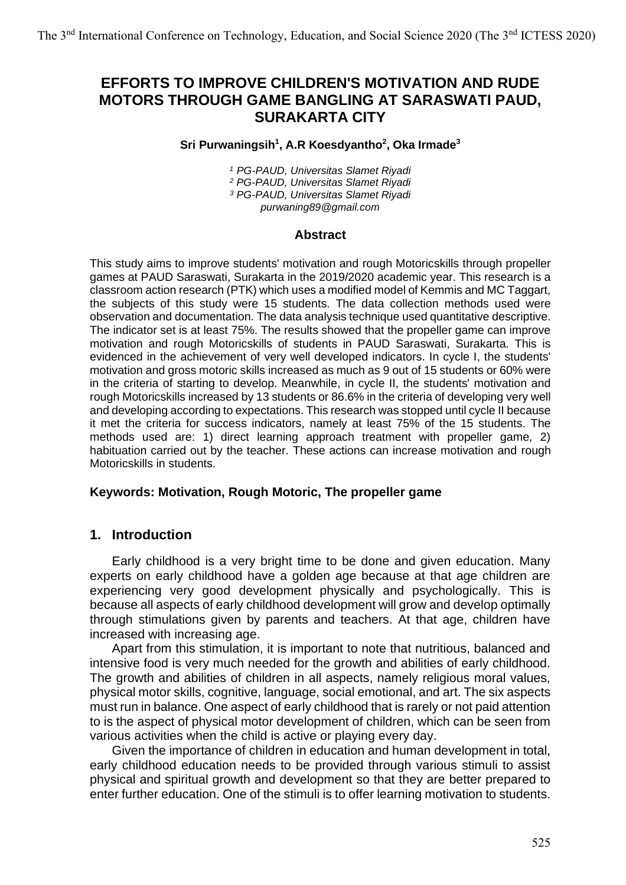# **EFFORTS TO IMPROVE CHILDREN'S MOTIVATION AND RUDE MOTORS THROUGH GAME BANGLING AT SARASWATI PAUD, SURAKARTA CITY**

#### **Sri Purwaningsih 1 , A.R Koesdyantho 2 , Oka Irmade<sup>3</sup>**

 *PG-PAUD, Universitas Slamet Riyadi PG-PAUD, Universitas Slamet Riyadi PG-PAUD, Universitas Slamet Riyadi purwaning89@gmail.com*

#### **Abstract**

This study aims to improve students' motivation and rough Motoricskills through propeller games at PAUD Saraswati, Surakarta in the 2019/2020 academic year. This research is a classroom action research (PTK) which uses a modified model of Kemmis and MC Taggart, the subjects of this study were 15 students. The data collection methods used were observation and documentation. The data analysis technique used quantitative descriptive. The indicator set is at least 75%. The results showed that the propeller game can improve motivation and rough Motoricskills of students in PAUD Saraswati, Surakarta. This is evidenced in the achievement of very well developed indicators. In cycle I, the students' motivation and gross motoric skills increased as much as 9 out of 15 students or 60% were in the criteria of starting to develop. Meanwhile, in cycle II, the students' motivation and rough Motoricskills increased by 13 students or 86.6% in the criteria of developing very well and developing according to expectations. This research was stopped until cycle II because it met the criteria for success indicators, namely at least 75% of the 15 students. The methods used are: 1) direct learning approach treatment with propeller game, 2) habituation carried out by the teacher. These actions can increase motivation and rough Motoricskills in students.

#### **Keywords: Motivation, Rough Motoric, The propeller game**

### **1. Introduction**

Early childhood is a very bright time to be done and given education. Many experts on early childhood have a golden age because at that age children are experiencing very good development physically and psychologically. This is because all aspects of early childhood development will grow and develop optimally through stimulations given by parents and teachers. At that age, children have increased with increasing age.

Apart from this stimulation, it is important to note that nutritious, balanced and intensive food is very much needed for the growth and abilities of early childhood. The growth and abilities of children in all aspects, namely religious moral values, physical motor skills, cognitive, language, social emotional, and art. The six aspects must run in balance. One aspect of early childhood that is rarely or not paid attention to is the aspect of physical motor development of children, which can be seen from various activities when the child is active or playing every day.

Given the importance of children in education and human development in total, early childhood education needs to be provided through various stimuli to assist physical and spiritual growth and development so that they are better prepared to enter further education. One of the stimuli is to offer learning motivation to students.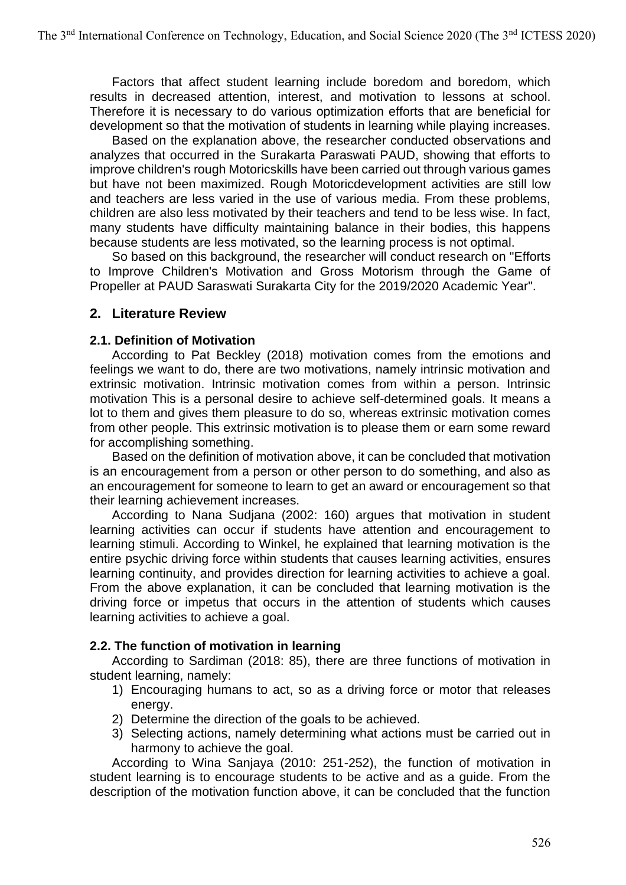Factors that affect student learning include boredom and boredom, which results in decreased attention, interest, and motivation to lessons at school. Therefore it is necessary to do various optimization efforts that are beneficial for development so that the motivation of students in learning while playing increases.

Based on the explanation above, the researcher conducted observations and analyzes that occurred in the Surakarta Paraswati PAUD, showing that efforts to improve children's rough Motoricskills have been carried out through various games but have not been maximized. Rough Motoricdevelopment activities are still low and teachers are less varied in the use of various media. From these problems, children are also less motivated by their teachers and tend to be less wise. In fact, many students have difficulty maintaining balance in their bodies, this happens because students are less motivated, so the learning process is not optimal.

So based on this background, the researcher will conduct research on "Efforts to Improve Children's Motivation and Gross Motorism through the Game of Propeller at PAUD Saraswati Surakarta City for the 2019/2020 Academic Year".

## **2. Literature Review**

#### **2.1. Definition of Motivation**

According to Pat Beckley (2018) motivation comes from the emotions and feelings we want to do, there are two motivations, namely intrinsic motivation and extrinsic motivation. Intrinsic motivation comes from within a person. Intrinsic motivation This is a personal desire to achieve self-determined goals. It means a lot to them and gives them pleasure to do so, whereas extrinsic motivation comes from other people. This extrinsic motivation is to please them or earn some reward for accomplishing something.

Based on the definition of motivation above, it can be concluded that motivation is an encouragement from a person or other person to do something, and also as an encouragement for someone to learn to get an award or encouragement so that their learning achievement increases.

According to Nana Sudjana (2002: 160) argues that motivation in student learning activities can occur if students have attention and encouragement to learning stimuli. According to Winkel, he explained that learning motivation is the entire psychic driving force within students that causes learning activities, ensures learning continuity, and provides direction for learning activities to achieve a goal. From the above explanation, it can be concluded that learning motivation is the driving force or impetus that occurs in the attention of students which causes learning activities to achieve a goal.

### **2.2. The function of motivation in learning**

According to Sardiman (2018: 85), there are three functions of motivation in student learning, namely:

- 1) Encouraging humans to act, so as a driving force or motor that releases energy.
- 2) Determine the direction of the goals to be achieved.
- 3) Selecting actions, namely determining what actions must be carried out in harmony to achieve the goal.

According to Wina Sanjaya (2010: 251-252), the function of motivation in student learning is to encourage students to be active and as a guide. From the description of the motivation function above, it can be concluded that the function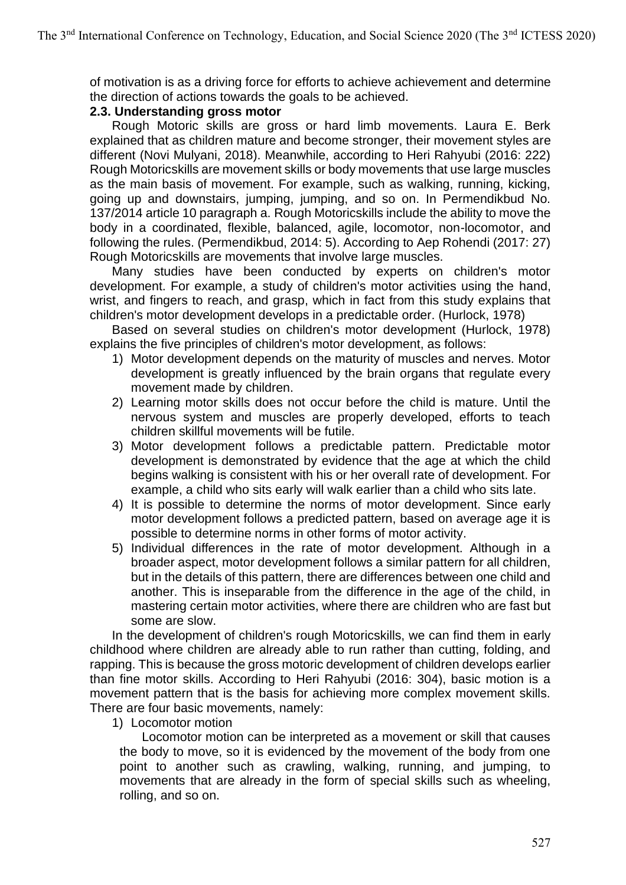of motivation is as a driving force for efforts to achieve achievement and determine the direction of actions towards the goals to be achieved.

### **2.3. Understanding gross motor**

Rough Motoric skills are gross or hard limb movements. Laura E. Berk explained that as children mature and become stronger, their movement styles are different (Novi Mulyani, 2018). Meanwhile, according to Heri Rahyubi (2016: 222) Rough Motoricskills are movement skills or body movements that use large muscles as the main basis of movement. For example, such as walking, running, kicking, going up and downstairs, jumping, jumping, and so on. In Permendikbud No. 137/2014 article 10 paragraph a. Rough Motoricskills include the ability to move the body in a coordinated, flexible, balanced, agile, locomotor, non-locomotor, and following the rules. (Permendikbud, 2014: 5). According to Aep Rohendi (2017: 27) Rough Motoricskills are movements that involve large muscles.

Many studies have been conducted by experts on children's motor development. For example, a study of children's motor activities using the hand, wrist, and fingers to reach, and grasp, which in fact from this study explains that children's motor development develops in a predictable order. (Hurlock, 1978)

Based on several studies on children's motor development (Hurlock, 1978) explains the five principles of children's motor development, as follows:

- 1) Motor development depends on the maturity of muscles and nerves. Motor development is greatly influenced by the brain organs that regulate every movement made by children.
- 2) Learning motor skills does not occur before the child is mature. Until the nervous system and muscles are properly developed, efforts to teach children skillful movements will be futile.
- 3) Motor development follows a predictable pattern. Predictable motor development is demonstrated by evidence that the age at which the child begins walking is consistent with his or her overall rate of development. For example, a child who sits early will walk earlier than a child who sits late.
- 4) It is possible to determine the norms of motor development. Since early motor development follows a predicted pattern, based on average age it is possible to determine norms in other forms of motor activity.
- 5) Individual differences in the rate of motor development. Although in a broader aspect, motor development follows a similar pattern for all children, but in the details of this pattern, there are differences between one child and another. This is inseparable from the difference in the age of the child, in mastering certain motor activities, where there are children who are fast but some are slow.

In the development of children's rough Motoricskills, we can find them in early childhood where children are already able to run rather than cutting, folding, and rapping. This is because the gross motoric development of children develops earlier than fine motor skills. According to Heri Rahyubi (2016: 304), basic motion is a movement pattern that is the basis for achieving more complex movement skills. There are four basic movements, namely:

1) Locomotor motion

Locomotor motion can be interpreted as a movement or skill that causes the body to move, so it is evidenced by the movement of the body from one point to another such as crawling, walking, running, and jumping, to movements that are already in the form of special skills such as wheeling, rolling, and so on.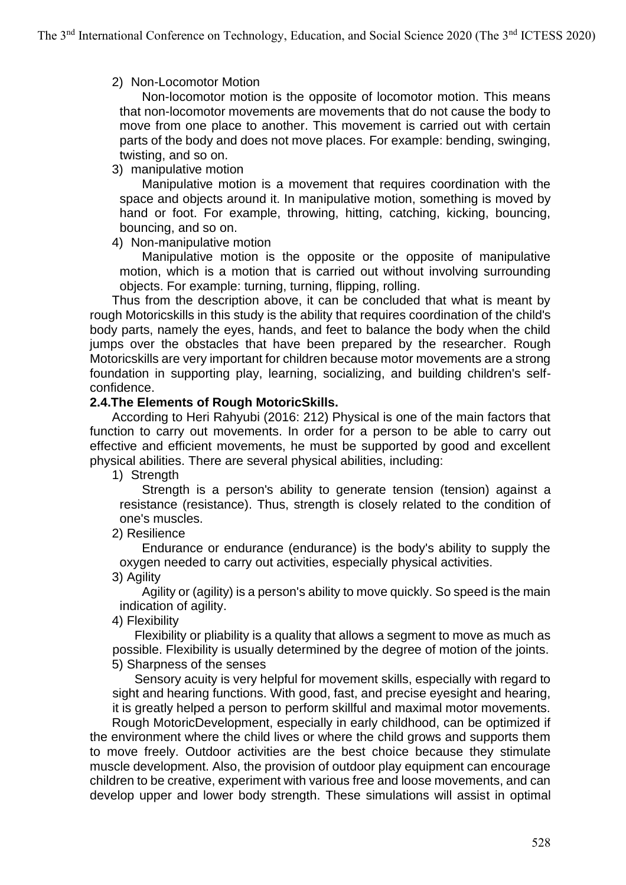### 2) Non-Locomotor Motion

Non-locomotor motion is the opposite of locomotor motion. This means that non-locomotor movements are movements that do not cause the body to move from one place to another. This movement is carried out with certain parts of the body and does not move places. For example: bending, swinging, twisting, and so on.

#### 3) manipulative motion

Manipulative motion is a movement that requires coordination with the space and objects around it. In manipulative motion, something is moved by hand or foot. For example, throwing, hitting, catching, kicking, bouncing, bouncing, and so on.

### 4) Non-manipulative motion

Manipulative motion is the opposite or the opposite of manipulative motion, which is a motion that is carried out without involving surrounding objects. For example: turning, turning, flipping, rolling.

Thus from the description above, it can be concluded that what is meant by rough Motoricskills in this study is the ability that requires coordination of the child's body parts, namely the eyes, hands, and feet to balance the body when the child jumps over the obstacles that have been prepared by the researcher. Rough Motoricskills are very important for children because motor movements are a strong foundation in supporting play, learning, socializing, and building children's selfconfidence.

#### **2.4.The Elements of Rough MotoricSkills.**

According to Heri Rahyubi (2016: 212) Physical is one of the main factors that function to carry out movements. In order for a person to be able to carry out effective and efficient movements, he must be supported by good and excellent physical abilities. There are several physical abilities, including:

1) Strength

Strength is a person's ability to generate tension (tension) against a resistance (resistance). Thus, strength is closely related to the condition of one's muscles.

2) Resilience

Endurance or endurance (endurance) is the body's ability to supply the oxygen needed to carry out activities, especially physical activities.

3) Agility

Agility or (agility) is a person's ability to move quickly. So speed is the main indication of agility.

4) Flexibility

Flexibility or pliability is a quality that allows a segment to move as much as possible. Flexibility is usually determined by the degree of motion of the joints. 5) Sharpness of the senses

Sensory acuity is very helpful for movement skills, especially with regard to sight and hearing functions. With good, fast, and precise eyesight and hearing, it is greatly helped a person to perform skillful and maximal motor movements.

Rough MotoricDevelopment, especially in early childhood, can be optimized if the environment where the child lives or where the child grows and supports them to move freely. Outdoor activities are the best choice because they stimulate muscle development. Also, the provision of outdoor play equipment can encourage children to be creative, experiment with various free and loose movements, and can develop upper and lower body strength. These simulations will assist in optimal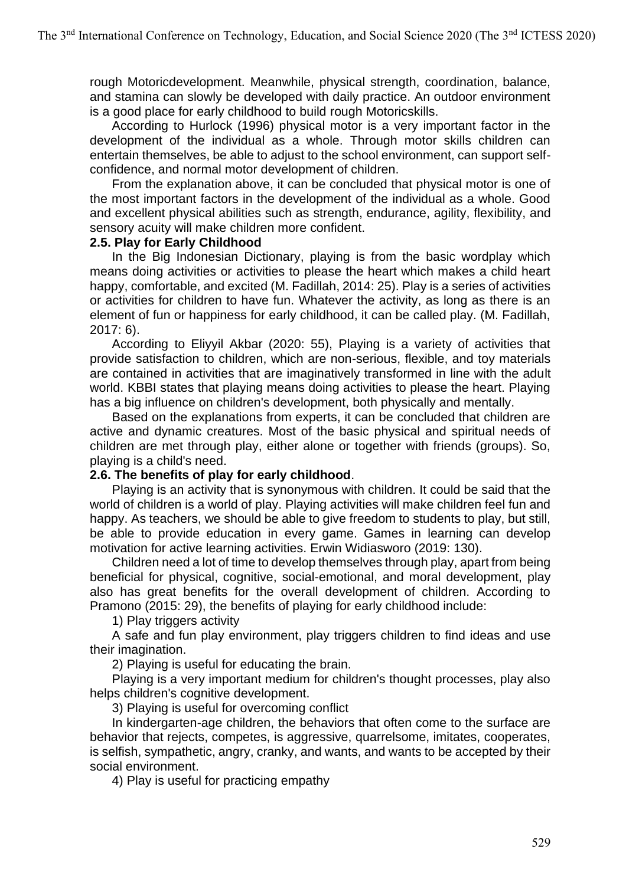rough Motoricdevelopment. Meanwhile, physical strength, coordination, balance, and stamina can slowly be developed with daily practice. An outdoor environment is a good place for early childhood to build rough Motoricskills.

According to Hurlock (1996) physical motor is a very important factor in the development of the individual as a whole. Through motor skills children can entertain themselves, be able to adjust to the school environment, can support selfconfidence, and normal motor development of children.

From the explanation above, it can be concluded that physical motor is one of the most important factors in the development of the individual as a whole. Good and excellent physical abilities such as strength, endurance, agility, flexibility, and sensory acuity will make children more confident.

#### **2.5. Play for Early Childhood**

In the Big Indonesian Dictionary, playing is from the basic wordplay which means doing activities or activities to please the heart which makes a child heart happy, comfortable, and excited (M. Fadillah, 2014: 25). Play is a series of activities or activities for children to have fun. Whatever the activity, as long as there is an element of fun or happiness for early childhood, it can be called play. (M. Fadillah, 2017: 6).

According to Eliyyil Akbar (2020: 55), Playing is a variety of activities that provide satisfaction to children, which are non-serious, flexible, and toy materials are contained in activities that are imaginatively transformed in line with the adult world. KBBI states that playing means doing activities to please the heart. Playing has a big influence on children's development, both physically and mentally.

Based on the explanations from experts, it can be concluded that children are active and dynamic creatures. Most of the basic physical and spiritual needs of children are met through play, either alone or together with friends (groups). So, playing is a child's need.

### **2.6. The benefits of play for early childhood**.

Playing is an activity that is synonymous with children. It could be said that the world of children is a world of play. Playing activities will make children feel fun and happy. As teachers, we should be able to give freedom to students to play, but still, be able to provide education in every game. Games in learning can develop motivation for active learning activities. Erwin Widiasworo (2019: 130).

Children need a lot of time to develop themselves through play, apart from being beneficial for physical, cognitive, social-emotional, and moral development, play also has great benefits for the overall development of children. According to Pramono (2015: 29), the benefits of playing for early childhood include:

1) Play triggers activity

A safe and fun play environment, play triggers children to find ideas and use their imagination.

2) Playing is useful for educating the brain.

Playing is a very important medium for children's thought processes, play also helps children's cognitive development.

3) Playing is useful for overcoming conflict

In kindergarten-age children, the behaviors that often come to the surface are behavior that rejects, competes, is aggressive, quarrelsome, imitates, cooperates, is selfish, sympathetic, angry, cranky, and wants, and wants to be accepted by their social environment.

4) Play is useful for practicing empathy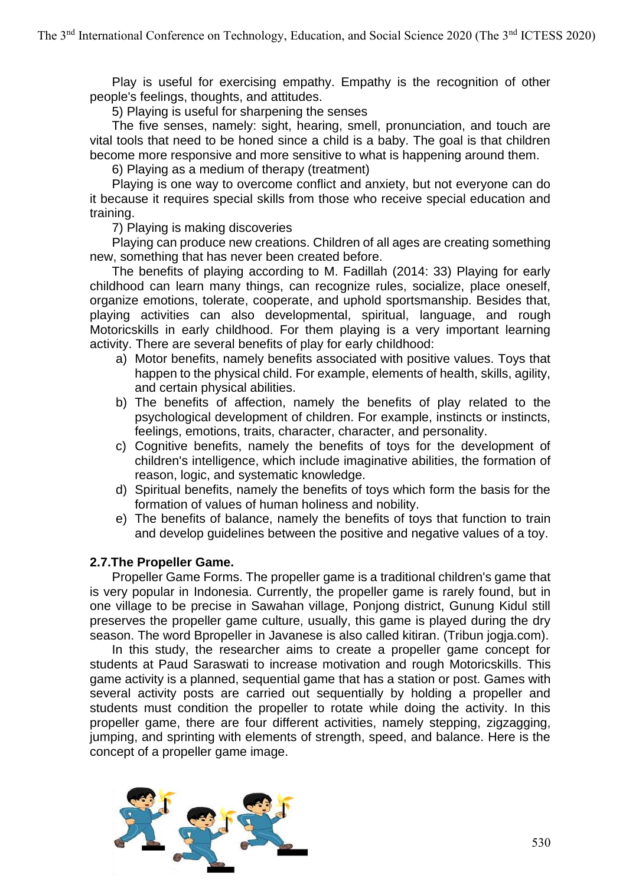Play is useful for exercising empathy. Empathy is the recognition of other people's feelings, thoughts, and attitudes.

5) Playing is useful for sharpening the senses

The five senses, namely: sight, hearing, smell, pronunciation, and touch are vital tools that need to be honed since a child is a baby. The goal is that children become more responsive and more sensitive to what is happening around them.

6) Playing as a medium of therapy (treatment)

Playing is one way to overcome conflict and anxiety, but not everyone can do it because it requires special skills from those who receive special education and training.

7) Playing is making discoveries

Playing can produce new creations. Children of all ages are creating something new, something that has never been created before.

The benefits of playing according to M. Fadillah (2014: 33) Playing for early childhood can learn many things, can recognize rules, socialize, place oneself, organize emotions, tolerate, cooperate, and uphold sportsmanship. Besides that, playing activities can also developmental, spiritual, language, and rough Motoricskills in early childhood. For them playing is a very important learning activity. There are several benefits of play for early childhood:

- a) Motor benefits, namely benefits associated with positive values. Toys that happen to the physical child. For example, elements of health, skills, agility, and certain physical abilities.
- b) The benefits of affection, namely the benefits of play related to the psychological development of children. For example, instincts or instincts, feelings, emotions, traits, character, character, and personality.
- c) Cognitive benefits, namely the benefits of toys for the development of children's intelligence, which include imaginative abilities, the formation of reason, logic, and systematic knowledge.
- d) Spiritual benefits, namely the benefits of toys which form the basis for the formation of values of human holiness and nobility.
- e) The benefits of balance, namely the benefits of toys that function to train and develop guidelines between the positive and negative values of a toy.

### **2.7.The Propeller Game.**

Propeller Game Forms. The propeller game is a traditional children's game that is very popular in Indonesia. Currently, the propeller game is rarely found, but in one village to be precise in Sawahan village, Ponjong district, Gunung Kidul still preserves the propeller game culture, usually, this game is played during the dry season. The word Bpropeller in Javanese is also called kitiran. (Tribun jogja.com).

In this study, the researcher aims to create a propeller game concept for students at Paud Saraswati to increase motivation and rough Motoricskills. This game activity is a planned, sequential game that has a station or post. Games with several activity posts are carried out sequentially by holding a propeller and students must condition the propeller to rotate while doing the activity. In this propeller game, there are four different activities, namely stepping, zigzagging, jumping, and sprinting with elements of strength, speed, and balance. Here is the concept of a propeller game image.

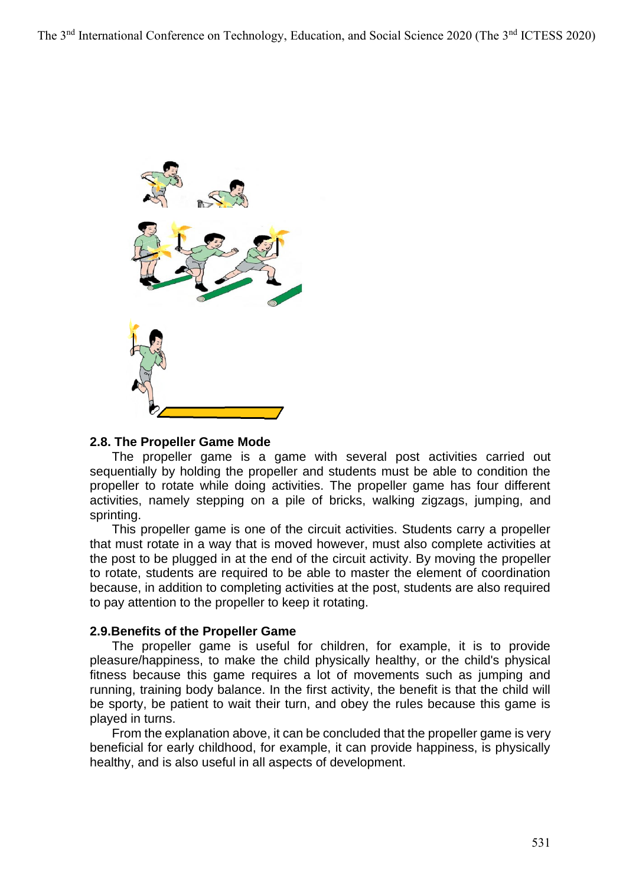

#### **2.8. The Propeller Game Mode**

The propeller game is a game with several post activities carried out sequentially by holding the propeller and students must be able to condition the propeller to rotate while doing activities. The propeller game has four different activities, namely stepping on a pile of bricks, walking zigzags, jumping, and sprinting.

This propeller game is one of the circuit activities. Students carry a propeller that must rotate in a way that is moved however, must also complete activities at the post to be plugged in at the end of the circuit activity. By moving the propeller to rotate, students are required to be able to master the element of coordination because, in addition to completing activities at the post, students are also required to pay attention to the propeller to keep it rotating.

#### **2.9.Benefits of the Propeller Game**

The propeller game is useful for children, for example, it is to provide pleasure/happiness, to make the child physically healthy, or the child's physical fitness because this game requires a lot of movements such as jumping and running, training body balance. In the first activity, the benefit is that the child will be sporty, be patient to wait their turn, and obey the rules because this game is played in turns.

From the explanation above, it can be concluded that the propeller game is very beneficial for early childhood, for example, it can provide happiness, is physically healthy, and is also useful in all aspects of development.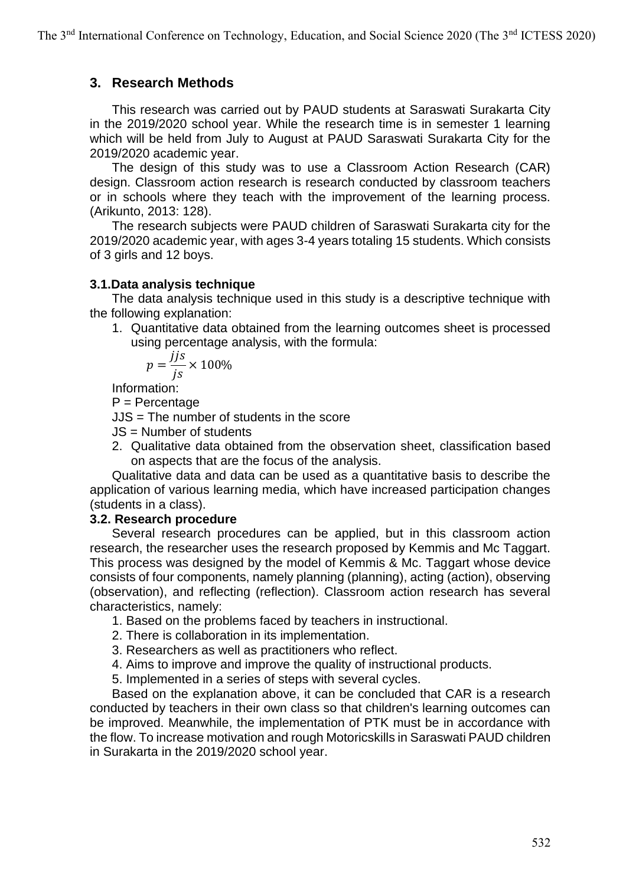## **3. Research Methods**

This research was carried out by PAUD students at Saraswati Surakarta City in the 2019/2020 school year. While the research time is in semester 1 learning which will be held from July to August at PAUD Saraswati Surakarta City for the 2019/2020 academic year.

The design of this study was to use a Classroom Action Research (CAR) design. Classroom action research is research conducted by classroom teachers or in schools where they teach with the improvement of the learning process. (Arikunto, 2013: 128).

The research subjects were PAUD children of Saraswati Surakarta city for the 2019/2020 academic year, with ages 3-4 years totaling 15 students. Which consists of 3 girls and 12 boys.

### **3.1.Data analysis technique**

The data analysis technique used in this study is a descriptive technique with the following explanation:

1. Quantitative data obtained from the learning outcomes sheet is processed using percentage analysis, with the formula:

$$
p = \frac{jjs}{js} \times 100\%
$$

Information:

P = Percentage

JJS = The number of students in the score

- JS = Number of students
- 2. Qualitative data obtained from the observation sheet, classification based on aspects that are the focus of the analysis.

Qualitative data and data can be used as a quantitative basis to describe the application of various learning media, which have increased participation changes (students in a class).

### **3.2. Research procedure**

Several research procedures can be applied, but in this classroom action research, the researcher uses the research proposed by Kemmis and Mc Taggart. This process was designed by the model of Kemmis & Mc. Taggart whose device consists of four components, namely planning (planning), acting (action), observing (observation), and reflecting (reflection). Classroom action research has several characteristics, namely:

- 1. Based on the problems faced by teachers in instructional.
- 2. There is collaboration in its implementation.
- 3. Researchers as well as practitioners who reflect.
- 4. Aims to improve and improve the quality of instructional products.
- 5. Implemented in a series of steps with several cycles.

Based on the explanation above, it can be concluded that CAR is a research conducted by teachers in their own class so that children's learning outcomes can be improved. Meanwhile, the implementation of PTK must be in accordance with the flow. To increase motivation and rough Motoricskills in Saraswati PAUD children in Surakarta in the 2019/2020 school year.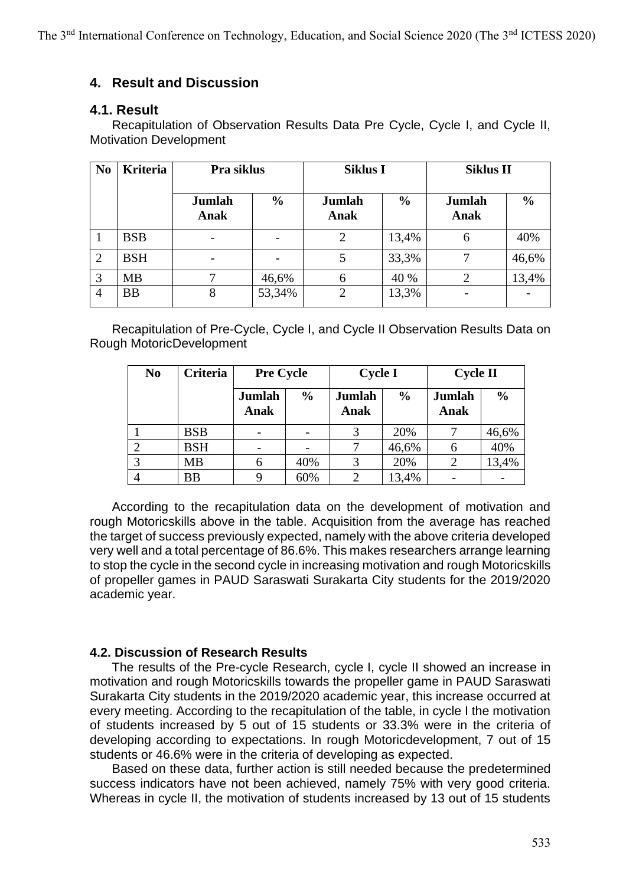# **4. Result and Discussion**

### **4.1. Result**

Recapitulation of Observation Results Data Pre Cycle, Cycle I, and Cycle II, Motivation Development

| N <sub>0</sub> | <b>Kriteria</b> | Pra siklus     |               | <b>Siklus I</b> |               | <b>Siklus II</b>      |               |
|----------------|-----------------|----------------|---------------|-----------------|---------------|-----------------------|---------------|
|                |                 | Jumlah<br>Anak | $\frac{0}{0}$ | Jumlah<br>Anak  | $\frac{0}{0}$ | <b>Jumlah</b><br>Anak | $\frac{0}{0}$ |
|                | <b>BSB</b>      |                |               | 2               | 13,4%         | 6                     | 40%           |
| 2              | <b>BSH</b>      |                |               |                 | 33,3%         |                       | 46,6%         |
| 3              | <b>MB</b>       |                | 46,6%         | h               | 40 %          |                       | 13,4%         |
| $\overline{4}$ | <b>BB</b>       | 8              | 53,34%        | ∍               | 13,3%         |                       |               |

Recapitulation of Pre-Cycle, Cycle I, and Cycle II Observation Results Data on Rough MotoricDevelopment

| N <sub>0</sub> | Criteria   | <b>Pre Cycle</b> |               | <b>Cycle I</b> |               | <b>Cycle II</b> |               |
|----------------|------------|------------------|---------------|----------------|---------------|-----------------|---------------|
|                |            | Jumlah<br>Anak   | $\frac{0}{0}$ | Jumlah<br>Anak | $\frac{0}{0}$ | Jumlah<br>Anak  | $\frac{0}{0}$ |
|                | <b>BSB</b> |                  |               |                | 20%           |                 | 46,6%         |
|                | <b>BSH</b> |                  |               |                | 46,6%         |                 | 40%           |
|                | MB         |                  | 40%           |                | 20%           |                 | 13,4%         |
|                | <b>BB</b>  |                  | 60%           |                | 13,4%         |                 |               |

According to the recapitulation data on the development of motivation and rough Motoricskills above in the table. Acquisition from the average has reached the target of success previously expected, namely with the above criteria developed very well and a total percentage of 86.6%. This makes researchers arrange learning to stop the cycle in the second cycle in increasing motivation and rough Motoricskills of propeller games in PAUD Saraswati Surakarta City students for the 2019/2020 academic year.

### **4.2. Discussion of Research Results**

The results of the Pre-cycle Research, cycle I, cycle II showed an increase in motivation and rough Motoricskills towards the propeller game in PAUD Saraswati Surakarta City students in the 2019/2020 academic year, this increase occurred at every meeting. According to the recapitulation of the table, in cycle I the motivation of students increased by 5 out of 15 students or 33.3% were in the criteria of developing according to expectations. In rough Motoricdevelopment, 7 out of 15 students or 46.6% were in the criteria of developing as expected.

Based on these data, further action is still needed because the predetermined success indicators have not been achieved, namely 75% with very good criteria. Whereas in cycle II, the motivation of students increased by 13 out of 15 students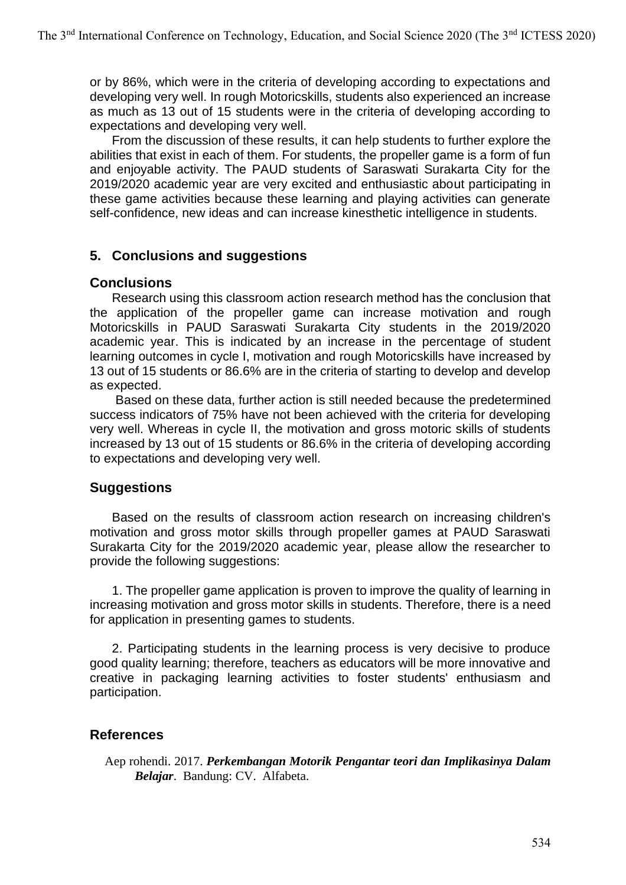or by 86%, which were in the criteria of developing according to expectations and developing very well. In rough Motoricskills, students also experienced an increase as much as 13 out of 15 students were in the criteria of developing according to expectations and developing very well.

From the discussion of these results, it can help students to further explore the abilities that exist in each of them. For students, the propeller game is a form of fun and enjoyable activity. The PAUD students of Saraswati Surakarta City for the 2019/2020 academic year are very excited and enthusiastic about participating in these game activities because these learning and playing activities can generate self-confidence, new ideas and can increase kinesthetic intelligence in students.

## **5. Conclusions and suggestions**

## **Conclusions**

Research using this classroom action research method has the conclusion that the application of the propeller game can increase motivation and rough Motoricskills in PAUD Saraswati Surakarta City students in the 2019/2020 academic year. This is indicated by an increase in the percentage of student learning outcomes in cycle I, motivation and rough Motoricskills have increased by 13 out of 15 students or 86.6% are in the criteria of starting to develop and develop as expected.

Based on these data, further action is still needed because the predetermined success indicators of 75% have not been achieved with the criteria for developing very well. Whereas in cycle II, the motivation and gross motoric skills of students increased by 13 out of 15 students or 86.6% in the criteria of developing according to expectations and developing very well.

# **Suggestions**

Based on the results of classroom action research on increasing children's motivation and gross motor skills through propeller games at PAUD Saraswati Surakarta City for the 2019/2020 academic year, please allow the researcher to provide the following suggestions:

1. The propeller game application is proven to improve the quality of learning in increasing motivation and gross motor skills in students. Therefore, there is a need for application in presenting games to students.

2. Participating students in the learning process is very decisive to produce good quality learning; therefore, teachers as educators will be more innovative and creative in packaging learning activities to foster students' enthusiasm and participation.

# **References**

Aep rohendi. 2017. *Perkembangan Motorik Pengantar teori dan Implikasinya Dalam Belajar*. Bandung: CV. Alfabeta.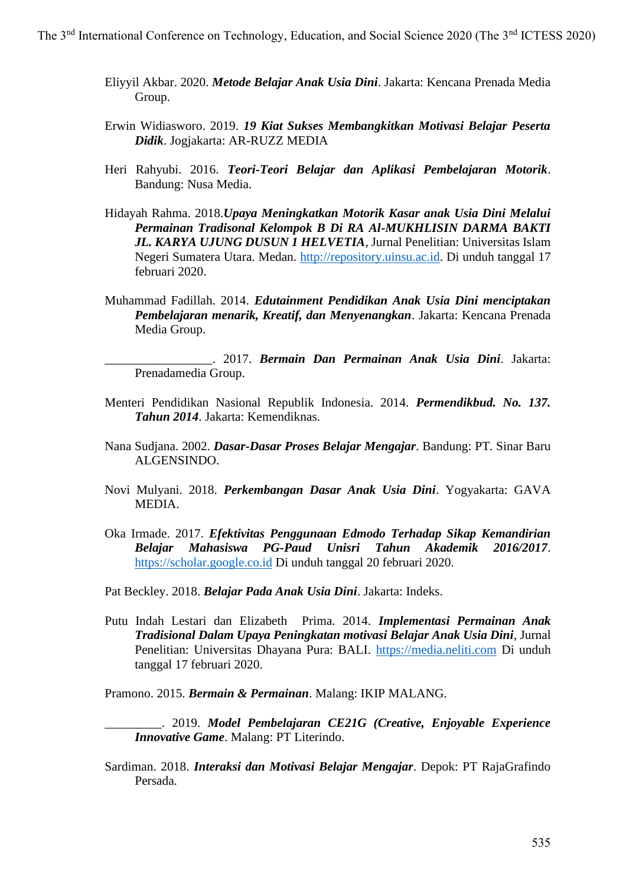- Eliyyil Akbar. 2020. *Metode Belajar Anak Usia Dini*. Jakarta: Kencana Prenada Media Group.
- Erwin Widiasworo. 2019. *19 Kiat Sukses Membangkitkan Motivasi Belajar Peserta Didik*. Jogjakarta: AR-RUZZ MEDIA
- Heri Rahyubi. 2016. *Teori-Teori Belajar dan Aplikasi Pembelajaran Motorik*. Bandung: Nusa Media.
- Hidayah Rahma. 2018.*Upaya Meningkatkan Motorik Kasar anak Usia Dini Melalui Permainan Tradisonal Kelompok B Di RA Al-MUKHLISIN DARMA BAKTI JL. KARYA UJUNG DUSUN 1 HELVETIA*, Jurnal Penelitian: Universitas Islam Negeri Sumatera Utara. Medan. [http://repository.uinsu.ac.id.](http://repository.uinsu.ac.id/) Di unduh tanggal 17 februari 2020.
- Muhammad Fadillah. 2014. *Edutainment Pendidikan Anak Usia Dini menciptakan Pembelajaran menarik, Kreatif, dan Menyenangkan*. Jakarta: Kencana Prenada Media Group.

\_\_\_\_\_\_\_\_\_\_\_\_\_\_\_\_\_. 2017. *Bermain Dan Permainan Anak Usia Dini*. Jakarta: Prenadamedia Group.

- Menteri Pendidikan Nasional Republik Indonesia. 2014. *Permendikbud. No. 137. Tahun 2014*. Jakarta: Kemendiknas.
- Nana Sudjana. 2002. *Dasar-Dasar Proses Belajar Mengajar*. Bandung: PT. Sinar Baru ALGENSINDO.
- Novi Mulyani. 2018. *Perkembangan Dasar Anak Usia Dini*. Yogyakarta: GAVA MEDIA.
- Oka Irmade. 2017. *Efektivitas Penggunaan Edmodo Terhadap Sikap Kemandirian Belajar Mahasiswa PG-Paud Unisri Tahun Akademik 2016/2017*. [https://scholar.google.co.id](https://scholar.google.co.id/) Di unduh tanggal 20 februari 2020.
- Pat Beckley. 2018. *Belajar Pada Anak Usia Dini*. Jakarta: Indeks.
- Putu Indah Lestari dan Elizabeth Prima. 2014. *Implementasi Permainan Anak Tradisional Dalam Upaya Peningkatan motivasi Belajar Anak Usia Dini*, Jurnal Penelitian: Universitas Dhayana Pura: BALI. [https://media.neliti.com](https://media.neliti.com/) Di unduh tanggal 17 februari 2020.

Pramono. 2015. *Bermain & Permainan*. Malang: IKIP MALANG.

- \_\_\_\_\_\_\_\_\_. 2019. *Model Pembelajaran CE21G (Creative, Enjoyable Experience Innovative Game*. Malang: PT Literindo.
- Sardiman. 2018. *Interaksi dan Motivasi Belajar Mengajar*. Depok: PT RajaGrafindo Persada.